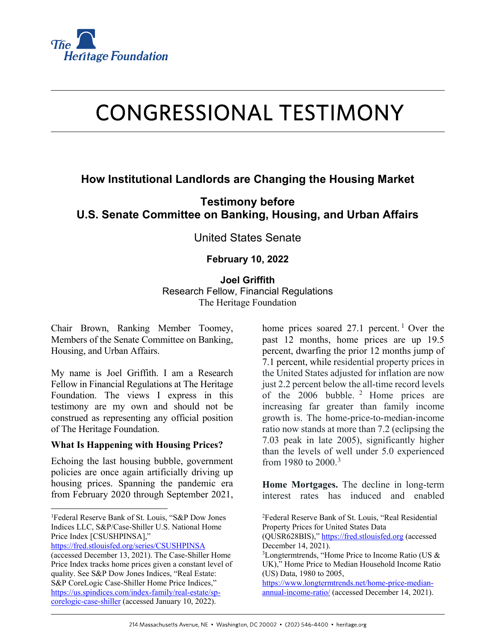

# **CONGRESSIONAL TESTIMONY**

# **How Institutional Landlords are Changing the Housing Market**

**Testimony before U.S. Senate Committee on Banking, Housing, and Urban Affairs**

United States Senate

# **February 10, 2022**

**Joel Griffith**

Research Fellow, Financial Regulations The Heritage Foundation

Chair Brown, Ranking Member Toomey, Members of the Senate Committee on Banking, Housing, and Urban Affairs.

My name is Joel Griffith. I am a Research Fellow in Financial Regulations at The Heritage Foundation. The views I express in this testimony are my own and should not be construed as representing any official position of The Heritage Foundation.

#### **What Is Happening with Housing Prices?**

Echoing the last housing bubble, government policies are once again artificially driving up housing prices. Spanning the pandemic era from February 2020 through September 2021,

```
https://fred.stlouisfed.org/series/CSUSHPINSA
```
home prices soared 27.[1](#page-0-0) percent.<sup>1</sup> Over the past 12 months, home prices are up 19.5 percent, dwarfing the prior 12 months jump of 7.1 percent, while residential property prices in the United States adjusted for inflation are now just 2.2 percent below the all-time record levels of the [2](#page-0-0)006 bubble. <sup>2</sup> Home prices are increasing far greater than family income growth is. The home-price-to-median-income ratio now stands at more than 7.2 (eclipsing the 7.03 peak in late 2005), significantly higher than the levels of well under 5.0 experienced from 1980 to  $2000^{3}$  $2000^{3}$  $2000^{3}$ 

**Home Mortgages.** The decline in long-term interest rates has induced and enabled

<span id="page-0-0"></span><sup>|&</sup>lt;br>|<br>| <sup>1</sup>Federal Reserve Bank of St. Louis, "S&P Dow Jones Indices LLC, S&P/Case-Shiller U.S. National Home Price Index [CSUSHPINSA],"

<span id="page-0-1"></span><sup>(</sup>accessed December 13, 2021). The Case-Shiller Home Price Index tracks home prices given a constant level of quality. See S&P Dow Jones Indices, "Real Estate: S&P CoreLogic Case-Shiller Home Price Indices," [https://us.spindices.com/index-family/real-estate/sp](https://us.spindices.com/index-family/real-estate/sp-corelogic-case-shiller)[corelogic-case-shiller](https://us.spindices.com/index-family/real-estate/sp-corelogic-case-shiller) (accessed January 10, 2022).

<sup>2</sup> Federal Reserve Bank of St. Louis, "Real Residential Property Prices for United States Data (QUSR628BIS)," [https://fred.stlouisfed.org](https://fred.stlouisfed.org/) (accessed December 14, 2021). <sup>3</sup>Longtermtrends, "Home Price to Income Ratio (US & UK)," Home Price to Median Household Income Ratio (US) Data, 1980 to 2005, [https://www.longtermtrends.net/home-price-median](https://www.longtermtrends.net/home-price-median-annual-income-ratio/)[annual-income-ratio/](https://www.longtermtrends.net/home-price-median-annual-income-ratio/) (accessed December 14, 2021).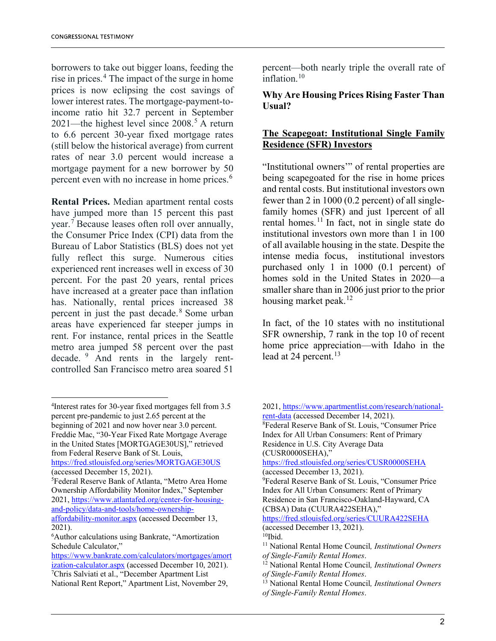borrowers to take out bigger loans, feeding the rise in prices.<sup>[4](#page-1-0)</sup> The impact of the surge in home prices is now eclipsing the cost savings of lower interest rates. The mortgage-payment-toincome ratio hit 32.7 percent in September 2021—the highest level since  $2008<sup>5</sup>$  $2008<sup>5</sup>$  $2008<sup>5</sup>$  A return to 6.6 percent 30-year fixed mortgage rates (still below the historical average) from current rates of near 3.0 percent would increase a mortgage payment for a new borrower by 50 percent even with no increase in home prices.<sup>[6](#page-1-2)</sup>

**Rental Prices.** Median apartment rental costs have jumped more than 15 percent this past year.<sup> $7$ </sup> Because leases often roll over annually, the Consumer Price Index (CPI) data from the Bureau of Labor Statistics (BLS) does not yet fully reflect this surge. Numerous cities experienced rent increases well in excess of 30 percent. For the past 20 years, rental prices have increased at a greater pace than inflation has. Nationally, rental prices increased 38 percent in just the past decade.<sup>[8](#page-1-4)</sup> Some urban areas have experienced far steeper jumps in rent. For instance, rental prices in the Seattle metro area jumped 58 percent over the past decade. [9](#page-1-1) And rents in the largely rentcontrolled San Francisco metro area soared 51

<https://fred.stlouisfed.org/series/MORTGAGE30US> (accessed December 15, 2021).

percent—both nearly triple the overall rate of inflation. $10$ 

**Why Are Housing Prices Rising Faster Than Usual?**

# **The Scapegoat: Institutional Single Family Residence (SFR) Investors**

"Institutional owners'" of rental properties are being scapegoated for the rise in home prices and rental costs. But institutional investors own fewer than 2 in 1000 (0.2 percent) of all singlefamily homes (SFR) and just 1percent of all rental homes.<sup>[11](#page-1-5)</sup> In fact, not in single state do institutional investors own more than 1 in 100 of all available housing in the state. Despite the intense media focus, institutional investors purchased only 1 in 1000 (0.1 percent) of homes sold in the United States in 2020—a smaller share than in 2006 just prior to the prior housing market peak.<sup>[12](#page-1-6)</sup>

In fact, of the 10 states with no institutional SFR ownership, 7 rank in the top 10 of recent home price appreciation—with Idaho in the lead at 24 percent.<sup>[13](#page-1-7)</sup>

2021, [https://www.apartmentlist.com/research/national-](https://www.apartmentlist.com/research/national-rent-data)

<span id="page-1-4"></span><span id="page-1-0"></span> $\frac{1}{4}$ <sup>4</sup>Interest rates for 30-year fixed mortgages fell from 3.5 percent pre-pandemic to just 2.65 percent at the beginning of 2021 and now hover near 3.0 percent. Freddie Mac, "30-Year Fixed Rate Mortgage Average in the United States [MORTGAGE30US]," retrieved from Federal Reserve Bank of St. Louis,

<span id="page-1-1"></span><sup>5</sup> Federal Reserve Bank of Atlanta, "Metro Area Home Ownership Affordability Monitor Index," September 2021, [https://www.atlantafed.org/center-for-housing](https://www.atlantafed.org/center-for-housing-and-policy/data-and-tools/home-ownership-affordability-monitor.aspx)[and-policy/data-and-tools/home-ownership-](https://www.atlantafed.org/center-for-housing-and-policy/data-and-tools/home-ownership-affordability-monitor.aspx)

[affordability-monitor.aspx](https://www.atlantafed.org/center-for-housing-and-policy/data-and-tools/home-ownership-affordability-monitor.aspx) (accessed December 13, 2021).

<span id="page-1-5"></span><span id="page-1-2"></span><sup>6</sup> Author calculations using Bankrate, "Amortization Schedule Calculator,"

<span id="page-1-7"></span><span id="page-1-6"></span><span id="page-1-3"></span>[https://www.bankrate.com/calculators/mortgages/amort](https://www.bankrate.com/calculators/mortgages/amortization-calculator.aspx) ization-calculator.aspx (accessed December 10, 2021). <sup>7</sup>Chris Salviati et al., "December Apartment List National Rent Report," Apartment List, November 29,

rent-data (accessed December 14, 2021). Federal Reserve Bank of St. Louis, "Consumer Price Index for All Urban Consumers: Rent of Primary Residence in U.S. City Average Data (CUSR0000SEHA)," <https://fred.stlouisfed.org/series/CUSR0000SEHA> (accessed December 13, 2021). 9 Federal Reserve Bank of St. Louis, "Consumer Price Index for All Urban Consumers: Rent of Primary Residence in San Francisco-Oakland-Hayward, CA (CBSA) Data (CUURA422SEHA)," <https://fred.stlouisfed.org/series/CUURA422SEHA> (accessed December 13, 2021).  $10$ Ibid. <sup>11</sup> National Rental Home Council*, Institutional Owners of Single-Family Rental Homes*. <sup>12</sup> National Rental Home Council*, Institutional Owners*  <sup>13</sup> National Rental Home Council, *Institutional Owners of Single-Family Rental Homes*.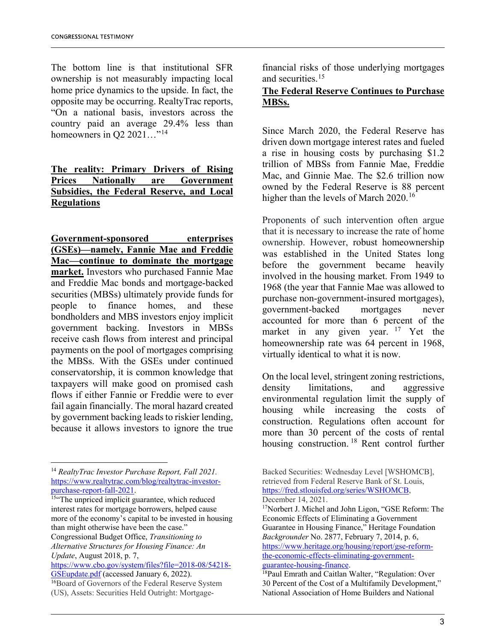The bottom line is that institutional SFR ownership is not measurably impacting local home price dynamics to the upside. In fact, the opposite may be occurring. RealtyTrac reports, "On a national basis, investors across the country paid an average 29.4% less than homeowners in Q2  $2021...$ <sup>"[14](#page-2-0)</sup>

# **The reality: Primary Drivers of Rising Prices Nationally are Government Subsidies, the Federal Reserve, and Local Regulations**

**Government-sponsored enterprises (GSEs)—namely, Fannie Mae and Freddie Mac—continue to dominate the mortgage market.** Investors who purchased Fannie Mae and Freddie Mac bonds and mortgage-backed securities (MBSs) ultimately provide funds for people to finance homes, and these bondholders and MBS investors enjoy implicit government backing. Investors in MBSs receive cash flows from interest and principal payments on the pool of mortgages comprising the MBSs. With the GSEs under continued conservatorship, it is common knowledge that taxpayers will make good on promised cash flows if either Fannie or Freddie were to ever fail again financially. The moral hazard created by government backing leads to riskier lending, because it allows investors to ignore the true

<span id="page-2-0"></span> <sup>14</sup> *RealtyTrac Investor Purchase Report, Fall 2021.* https://www.realtytrac.com/blog/realtytrac-investor-<br>purchase-report-fall-2021.

<span id="page-2-3"></span><span id="page-2-1"></span><sup>15"</sup>The unpriced implicit guarantee, which reduced interest rates for mortgage borrowers, helped cause more of the economy's capital to be invested in housing than might otherwise have been the case."

Congressional Budget Office, *Transitioning to Alternative Structures for Housing Finance: An Update*, August 2018, p. 7,

<span id="page-2-4"></span>[https://www.cbo.gov/system/files?file=2018-08/54218-](https://www.cbo.gov/system/files?file=2018-08/54218-GSEupdate.pdf%20) [GSEupdate.pdf](https://www.cbo.gov/system/files?file=2018-08/54218-GSEupdate.pdf%20) (accessed January 6, 2022).

<span id="page-2-2"></span><sup>16</sup>Board of Governors of the Federal Reserve System (US), Assets: Securities Held Outright: Mortgagefinancial risks of those underlying mortgages and securities.[15](#page-2-1)

#### **The Federal Reserve Continues to Purchase MBSs.**

Since March 2020, the Federal Reserve has driven down mortgage interest rates and fueled a rise in housing costs by purchasing \$1.2 trillion of MBSs from Fannie Mae, Freddie Mac, and Ginnie Mae. The \$2.6 trillion now owned by the Federal Reserve is 88 percent higher than the levels of March  $2020$ .<sup>[16](#page-2-2)</sup>

Proponents of such intervention often argue that it is necessary to increase the rate of home ownership. However, robust homeownership was established in the United States long before the government became heavily involved in the housing market. From 1949 to 1968 (the year that Fannie Mae was allowed to purchase non-government-insured mortgages), government-backed mortgages never accounted for more than 6 percent of the market in any given year. <sup>[17](#page-2-3)</sup> Yet the homeownership rate was 64 percent in 1968, virtually identical to what it is now.

On the local level, stringent zoning restrictions, density limitations, and aggressive environmental regulation limit the supply of housing while increasing the costs of construction. Regulations often account for more than 30 percent of the costs of rental housing construction. [18](#page-2-4) Rent control further

Backed Securities: Wednesday Level [WSHOMCB], retrieved from Federal Reserve Bank of St. Louis, [https://fred.stlouisfed.org/series/WSHOMCB,](https://fred.stlouisfed.org/series/WSHOMCB) December 14, 2021.

<sup>17</sup>Norbert J. Michel and John Ligon, "GSE Reform: The Economic Effects of Eliminating a Government Guarantee in Housing Finance," Heritage Foundation *Backgrounder* No. 2877, February 7, 2014, p. 6, [https://www.heritage.org/housing/report/gse-reform](https://www.heritage.org/housing/report/gse-reform-the-economic-effects-eliminating-government-guarantee-housing-finance)[the-economic-effects-eliminating-government](https://www.heritage.org/housing/report/gse-reform-the-economic-effects-eliminating-government-guarantee-housing-finance)[guarantee-housing-finance.](https://www.heritage.org/housing/report/gse-reform-the-economic-effects-eliminating-government-guarantee-housing-finance)

<sup>&</sup>lt;sup>18</sup>Paul Emrath and Caitlan Walter, "Regulation: Over 30 Percent of the Cost of a Multifamily Development," National Association of Home Builders and National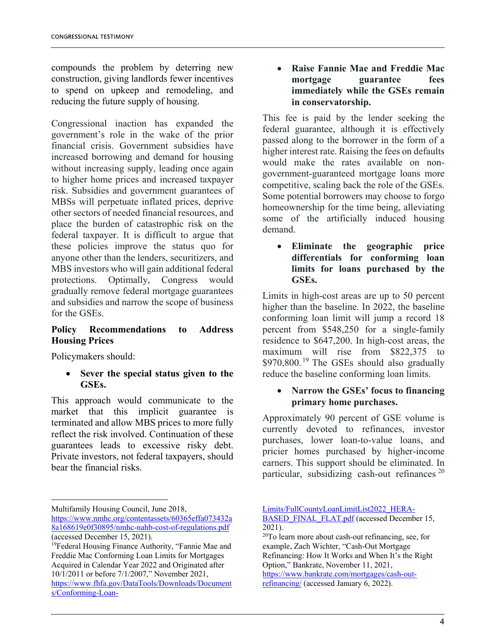compounds the problem by deterring new construction, giving landlords fewer incentives to spend on upkeep and remodeling, and reducing the future supply of housing.

Congressional inaction has expanded the government's role in the wake of the prior financial crisis. Government subsidies have increased borrowing and demand for housing without increasing supply, leading once again to higher home prices and increased taxpayer risk. Subsidies and government guarantees of MBSs will perpetuate inflated prices, deprive other sectors of needed financial resources, and place the burden of catastrophic risk on the federal taxpayer. It is difficult to argue that these policies improve the status quo for anyone other than the lenders, securitizers, and MBS investors who will gain additional federal protections. Optimally, Congress would gradually remove federal mortgage guarantees and subsidies and narrow the scope of business for the GSEs.

# **Policy Recommendations to Address Housing Prices**

Policymakers should:

#### • **Sever the special status given to the GSEs.**

This approach would communicate to the market that this implicit guarantee is terminated and allow MBS prices to more fully reflect the risk involved. Continuation of these guarantees leads to excessive risky debt. Private investors, not federal taxpayers, should bear the financial risks.

• **Raise Fannie Mae and Freddie Mac mortgage guarantee fees immediately while the GSEs remain in conservatorship.** 

This fee is paid by the lender seeking the federal guarantee, although it is effectively passed along to the borrower in the form of a higher interest rate. Raising the fees on defaults would make the rates available on nongovernment-guaranteed mortgage loans more competitive, scaling back the role of the GSEs. Some potential borrowers may choose to forgo homeownership for the time being, alleviating some of the artificially induced housing demand.

• **Eliminate the geographic price differentials for conforming loan limits for loans purchased by the GSEs.**

Limits in high-cost areas are up to 50 percent higher than the baseline. In 2022, the baseline conforming loan limit will jump a record 18 percent from \$548,250 for a single-family residence to \$647,200. In high-cost areas, the maximum will rise from \$822,375 to  $$970,800$ . <sup>[19](#page-3-0)</sup> The GSEs should also gradually reduce the baseline conforming loan limits.

# • **Narrow the GSEs' focus to financing primary home purchases.**

Approximately 90 percent of GSE volume is currently devoted to refinances, investor purchases, lower loan-to-value loans, and pricier homes purchased by higher-income earners. This support should be eliminated. In particular, subsidizing cash-out refinances  $20$ 

[https://www.bankrate.com/mortgages/cash-out](https://www.bankrate.com/mortgages/cash-out-refinancing/)[refinancing/](https://www.bankrate.com/mortgages/cash-out-refinancing/) (accessed January 6, 2022).

Multifamily Housing Council, June 2018,

[https://www.nmhc.org/contentassets/60365effa073432a](https://www.nmhc.org/contentassets/60365effa073432a8a168619e0f30895/nmhc-nahb-cost-of-regulations.pdf) [8a168619e0f30895/nmhc-nahb-cost-of-regulations.pdf](https://www.nmhc.org/contentassets/60365effa073432a8a168619e0f30895/nmhc-nahb-cost-of-regulations.pdf) (accessed December 15, 2021).

<span id="page-3-1"></span><span id="page-3-0"></span><sup>&</sup>lt;sup>19</sup>Federal Housing Finance Authority, "Fannie Mae and Freddie Mac Conforming Loan Limits for Mortgages Acquired in Calendar Year 2022 and Originated after 10/1/2011 or before 7/1/2007," November 2021, [https://www.fhfa.gov/DataTools/Downloads/Document](https://www.fhfa.gov/DataTools/Downloads/Documents/Conforming-Loan-Limits/FullCountyLoanLimitList2022_HERA-BASED_FINAL_FLAT.pdf)

[s/Conforming-Loan-](https://www.fhfa.gov/DataTools/Downloads/Documents/Conforming-Loan-Limits/FullCountyLoanLimitList2022_HERA-BASED_FINAL_FLAT.pdf)

[Limits/FullCountyLoanLimitList2022\\_HERA-](https://www.fhfa.gov/DataTools/Downloads/Documents/Conforming-Loan-Limits/FullCountyLoanLimitList2022_HERA-BASED_FINAL_FLAT.pdf)[BASED\\_FINAL\\_FLAT.pdf](https://www.fhfa.gov/DataTools/Downloads/Documents/Conforming-Loan-Limits/FullCountyLoanLimitList2022_HERA-BASED_FINAL_FLAT.pdf) (accessed December 15, 2021).

<sup>20</sup>To learn more about cash-out refinancing, see, for example, Zach Wichter, "Cash-Out Mortgage Refinancing: How It Works and When It's the Right Option," Bankrate, November 11, 2021,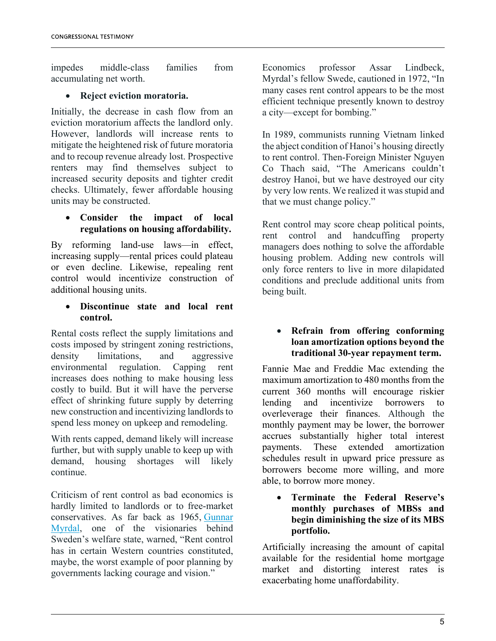impedes middle-class families from accumulating net worth.

## • **Reject eviction moratoria.**

Initially, the decrease in cash flow from an eviction moratorium affects the landlord only. However, landlords will increase rents to mitigate the heightened risk of future moratoria and to recoup revenue already lost. Prospective renters may find themselves subject to increased security deposits and tighter credit checks. Ultimately, fewer affordable housing units may be constructed.

#### • **Consider the impact of local regulations on housing affordability.**

By reforming land-use laws—in effect, increasing supply—rental prices could plateau or even decline. Likewise, repealing rent control would incentivize construction of additional housing units.

#### • **Discontinue state and local rent control.**

Rental costs reflect the supply limitations and costs imposed by stringent zoning restrictions, density limitations, and aggressive environmental regulation. Capping rent increases does nothing to make housing less costly to build. But it will have the perverse effect of shrinking future supply by deterring new construction and incentivizing landlords to spend less money on upkeep and remodeling.

With rents capped, demand likely will increase further, but with supply unable to keep up with demand, housing shortages will likely continue.

Criticism of rent control as bad economics is hardly limited to landlords or to free-market conservatives. As far back as 1965, [Gunnar](https://www.cobdencentre.org/2017/10/the-worst-of-government-poor-planning-an-economic-argument-against-rent-controls/#_edn1)  [Myrdal,](https://www.cobdencentre.org/2017/10/the-worst-of-government-poor-planning-an-economic-argument-against-rent-controls/#_edn1) one of the visionaries behind Sweden's welfare state, warned, "Rent control has in certain Western countries constituted, maybe, the worst example of poor planning by governments lacking courage and vision."

Economics professor Assar Lindbeck, Myrdal's fellow Swede, cautioned in 1972, "In many cases rent control appears to be the most efficient technique presently known to destroy a city—except for bombing."

In 1989, communists running Vietnam linked the abject condition of Hanoi's housing directly to rent control. Then-Foreign Minister Nguyen Co Thach said, "The Americans couldn't destroy Hanoi, but we have destroyed our city by very low rents. We realized it was stupid and that we must change policy."

Rent control may score cheap political points, rent control and handcuffing property managers does nothing to solve the affordable housing problem. Adding new controls will only force renters to live in more dilapidated conditions and preclude additional units from being built.

#### • **Refrain from offering conforming loan amortization options beyond the traditional 30-year repayment term.**

Fannie Mae and Freddie Mac extending the maximum amortization to 480 months from the current 360 months will encourage riskier lending and incentivize borrowers to overleverage their finances. Although the monthly payment may be lower, the borrower accrues substantially higher total interest payments. These extended amortization schedules result in upward price pressure as borrowers become more willing, and more able, to borrow more money.

• **Terminate the Federal Reserve's monthly purchases of MBSs and begin diminishing the size of its MBS portfolio.**

Artificially increasing the amount of capital available for the residential home mortgage market and distorting interest rates is exacerbating home unaffordability.